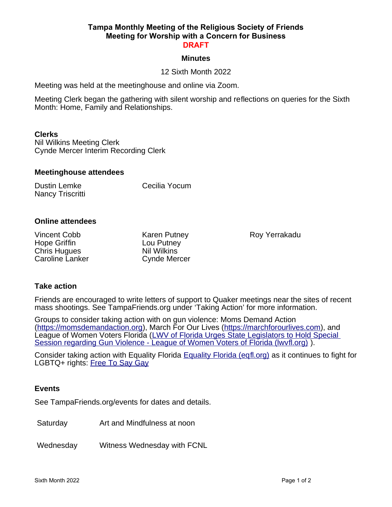#### **Tampa Monthly Meeting of the Religious Society of Friends Meeting for Worship with a Concern for Business DRAFT**

### **Minutes**

# 12 Sixth Month 2022

Meeting was held at the meetinghouse and online via Zoom.

Meeting Clerk began the gathering with silent worship and reflections on queries for the Sixth Month: Home, Family and Relationships.

### **Clerks**

Nil Wilkins Meeting Clerk Cynde Mercer Interim Recording Clerk

### **Meetinghouse attendees**

| Dustin Lemke     | Cecilia Yocum |
|------------------|---------------|
| Nancy Triscritti |               |

### **Online attendees**

| Vincent Cobb        | <b>Karen Putney</b> |
|---------------------|---------------------|
| Hope Griffin        | Lou Putney          |
| <b>Chris Hugues</b> | <b>Nil Wilkins</b>  |
| Caroline Lanker     | <b>Cynde Mercer</b> |

Roy Yerrakadu

# **Take action**

Friends are encouraged to write letters of support to Quaker meetings near the sites of recent mass shootings. See TampaFriends.org under 'Taking Action' for more information.

Groups to consider taking action with on gun violence: Moms Demand Action [\(https://momsdemandaction.org\)](https://momsdemandaction.org/), March For Our Lives [\(https://marchforourlives.com\)](https://marchforourlives.com/), and League of Women Voters Florida (LWV of Florida Urges State Legislators to Hold Special [Session regarding Gun Violence - League of Women Voters of Florida \(lwvfl.org\)](https://lwvfl.org/lwv-of-florida-urges-state-legislators-to-hold-special-session-regarding-gun-violence/) ).

Consider taking action with Equality Florida **Equality Florida (eqfl.org)** as it continues to fight for LGBTQ+ rights: [Free To Say Gay](https://freetosaygay.org/)

### **Events**

See TampaFriends.org/events for dates and details.

Saturday **Art and Mindfulness at noon** 

Wednesday Witness Wednesday with FCNL